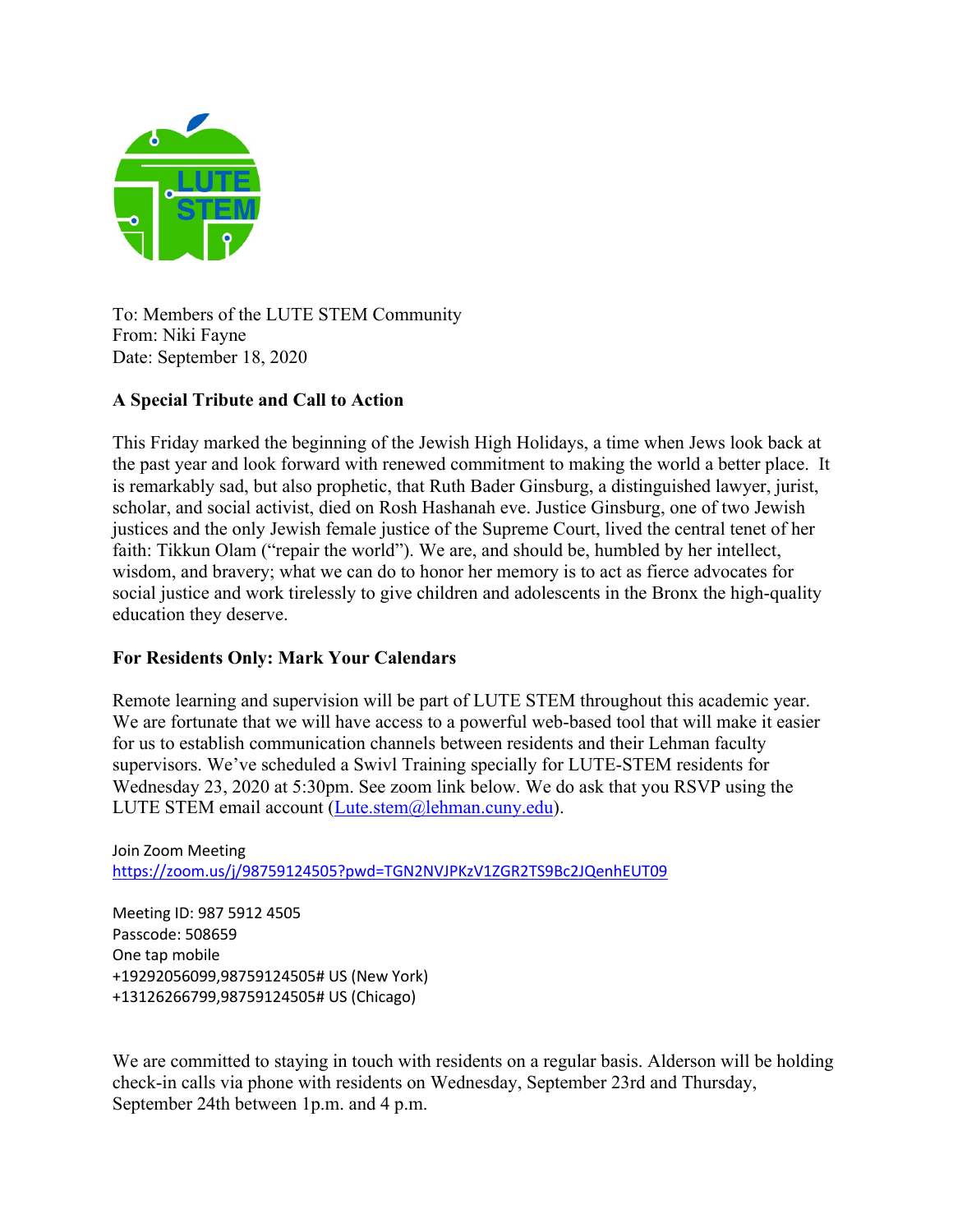

To: Members of the LUTE STEM Community From: Niki Fayne Date: September 18, 2020

# **A Special Tribute and Call to Action**

This Friday marked the beginning of the Jewish High Holidays, a time when Jews look back at the past year and look forward with renewed commitment to making the world a better place. It is remarkably sad, but also prophetic, that Ruth Bader Ginsburg, a distinguished lawyer, jurist, scholar, and social activist, died on Rosh Hashanah eve. Justice Ginsburg, one of two Jewish justices and the only Jewish female justice of the Supreme Court, lived the central tenet of her faith: Tikkun Olam ("repair the world"). We are, and should be, humbled by her intellect, wisdom, and bravery; what we can do to honor her memory is to act as fierce advocates for social justice and work tirelessly to give children and adolescents in the Bronx the high-quality education they deserve.

# **For Residents Only: Mark Your Calendars**

Remote learning and supervision will be part of LUTE STEM throughout this academic year. We are fortunate that we will have access to a powerful web-based tool that will make it easier for us to establish communication channels between residents and their Lehman faculty supervisors. We've scheduled a Swivl Training specially for LUTE-STEM residents for Wednesday 23, 2020 at 5:30pm. See zoom link below. We do ask that you RSVP using the LUTE STEM email account (Lute.stem@lehman.cuny.edu).

Join Zoom Meeting https://zoom.us/j/98759124505?pwd=TGN2NVJPKzV1ZGR2TS9Bc2JQenhEUT09

Meeting ID: 987 5912 4505 Passcode: 508659 One tap mobile +19292056099,98759124505# US (New York) +13126266799,98759124505# US (Chicago)

We are committed to staying in touch with residents on a regular basis. Alderson will be holding check-in calls via phone with residents on Wednesday, September 23rd and Thursday, September 24th between 1p.m. and 4 p.m.